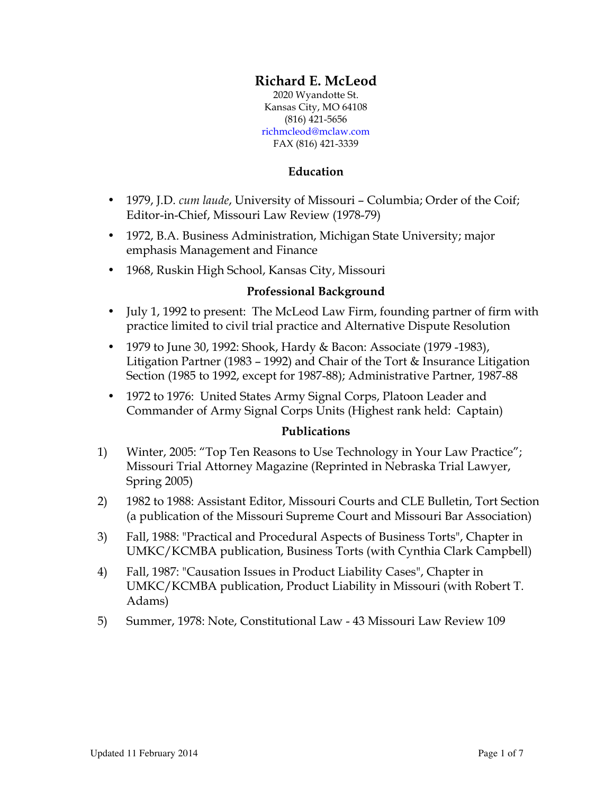# **Richard E. McLeod**

2020 Wyandotte St. Kansas City, MO 64108 (816) 421-5656 richmcleod@mclaw.com FAX (816) 421-3339

### **Education**

- 1979, J.D. *cum laude*, University of Missouri Columbia; Order of the Coif; Editor-in-Chief, Missouri Law Review (1978-79)
- 1972, B.A. Business Administration, Michigan State University; major emphasis Management and Finance
- 1968, Ruskin High School, Kansas City, Missouri

#### **Professional Background**

- July 1, 1992 to present: The McLeod Law Firm, founding partner of firm with practice limited to civil trial practice and Alternative Dispute Resolution
- 1979 to June 30, 1992: Shook, Hardy & Bacon: Associate (1979 -1983), Litigation Partner (1983 – 1992) and Chair of the Tort & Insurance Litigation Section (1985 to 1992, except for 1987-88); Administrative Partner, 1987-88
- 1972 to 1976: United States Army Signal Corps, Platoon Leader and Commander of Army Signal Corps Units (Highest rank held: Captain)

# **Publications**

- 1) Winter, 2005: "Top Ten Reasons to Use Technology in Your Law Practice"; Missouri Trial Attorney Magazine (Reprinted in Nebraska Trial Lawyer, Spring 2005)
- 2) 1982 to 1988: Assistant Editor, Missouri Courts and CLE Bulletin, Tort Section (a publication of the Missouri Supreme Court and Missouri Bar Association)
- 3) Fall, 1988: "Practical and Procedural Aspects of Business Torts", Chapter in UMKC/KCMBA publication, Business Torts (with Cynthia Clark Campbell)
- 4) Fall, 1987: "Causation Issues in Product Liability Cases", Chapter in UMKC/KCMBA publication, Product Liability in Missouri (with Robert T. Adams)
- 5) Summer, 1978: Note, Constitutional Law 43 Missouri Law Review 109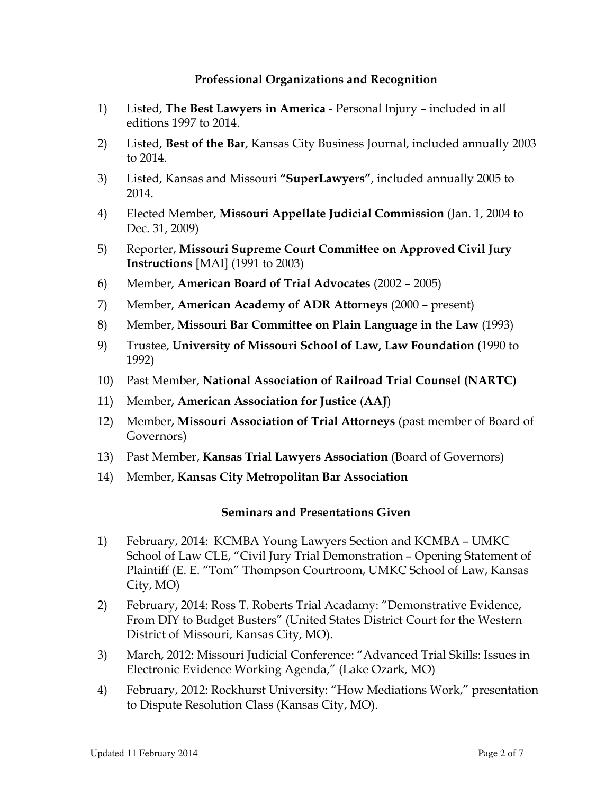### **Professional Organizations and Recognition**

- 1) Listed, **The Best Lawyers in America** Personal Injury included in all editions 1997 to 2014.
- 2) Listed, **Best of the Bar**, Kansas City Business Journal, included annually 2003 to 2014.
- 3) Listed, Kansas and Missouri **"SuperLawyers"**, included annually 2005 to 2014.
- 4) Elected Member, **Missouri Appellate Judicial Commission** (Jan. 1, 2004 to Dec. 31, 2009)
- 5) Reporter, **Missouri Supreme Court Committee on Approved Civil Jury Instructions** [MAI] (1991 to 2003)
- 6) Member, **American Board of Trial Advocates** (2002 2005)
- 7) Member, **American Academy of ADR Attorneys** (2000 present)
- 8) Member, **Missouri Bar Committee on Plain Language in the Law** (1993)
- 9) Trustee, **University of Missouri School of Law, Law Foundation** (1990 to 1992)
- 10) Past Member, **National Association of Railroad Trial Counsel (NARTC)**
- 11) Member, **American Association for Justice** (**AAJ**)
- 12) Member, **Missouri Association of Trial Attorneys** (past member of Board of Governors)
- 13) Past Member, **Kansas Trial Lawyers Association** (Board of Governors)
- 14) Member, **Kansas City Metropolitan Bar Association**

# **Seminars and Presentations Given**

- 1) February, 2014: KCMBA Young Lawyers Section and KCMBA UMKC School of Law CLE, "Civil Jury Trial Demonstration – Opening Statement of Plaintiff (E. E. "Tom" Thompson Courtroom, UMKC School of Law, Kansas City, MO)
- 2) February, 2014: Ross T. Roberts Trial Acadamy: "Demonstrative Evidence, From DIY to Budget Busters" (United States District Court for the Western District of Missouri, Kansas City, MO).
- 3) March, 2012: Missouri Judicial Conference: "Advanced Trial Skills: Issues in Electronic Evidence Working Agenda," (Lake Ozark, MO)
- 4) February, 2012: Rockhurst University: "How Mediations Work," presentation to Dispute Resolution Class (Kansas City, MO).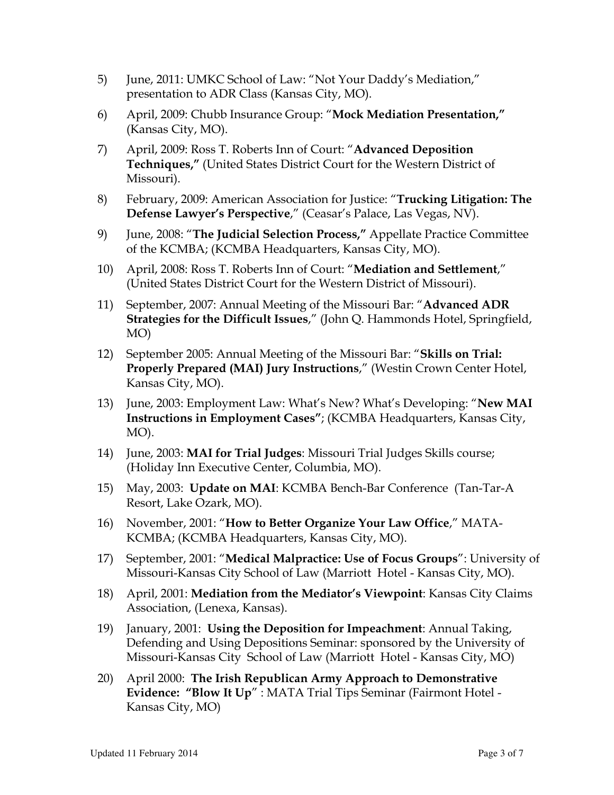- 5) June, 2011: UMKC School of Law: "Not Your Daddy's Mediation," presentation to ADR Class (Kansas City, MO).
- 6) April, 2009: Chubb Insurance Group: "**Mock Mediation Presentation,"** (Kansas City, MO).
- 7) April, 2009: Ross T. Roberts Inn of Court: "**Advanced Deposition Techniques,"** (United States District Court for the Western District of Missouri).
- 8) February, 2009: American Association for Justice: "**Trucking Litigation: The Defense Lawyer's Perspective**," (Ceasar's Palace, Las Vegas, NV).
- 9) June, 2008: "**The Judicial Selection Process,"** Appellate Practice Committee of the KCMBA; (KCMBA Headquarters, Kansas City, MO).
- 10) April, 2008: Ross T. Roberts Inn of Court: "**Mediation and Settlement**," (United States District Court for the Western District of Missouri).
- 11) September, 2007: Annual Meeting of the Missouri Bar: "**Advanced ADR Strategies for the Difficult Issues**," (John Q. Hammonds Hotel, Springfield, MO)
- 12) September 2005: Annual Meeting of the Missouri Bar: "**Skills on Trial: Properly Prepared (MAI) Jury Instructions**," (Westin Crown Center Hotel, Kansas City, MO).
- 13) June, 2003: Employment Law: What's New? What's Developing: "**New MAI Instructions in Employment Cases"**; (KCMBA Headquarters, Kansas City, MO).
- 14) June, 2003: **MAI for Trial Judges**: Missouri Trial Judges Skills course; (Holiday Inn Executive Center, Columbia, MO).
- 15) May, 2003: **Update on MAI**: KCMBA Bench-Bar Conference (Tan-Tar-A Resort, Lake Ozark, MO).
- 16) November, 2001: "**How to Better Organize Your Law Office**," MATA-KCMBA; (KCMBA Headquarters, Kansas City, MO).
- 17) September, 2001: "**Medical Malpractice: Use of Focus Groups**": University of Missouri-Kansas City School of Law (Marriott Hotel - Kansas City, MO).
- 18) April, 2001: **Mediation from the Mediator's Viewpoint**: Kansas City Claims Association, (Lenexa, Kansas).
- 19) January, 2001: **Using the Deposition for Impeachment**: Annual Taking, Defending and Using Depositions Seminar: sponsored by the University of Missouri-Kansas City School of Law (Marriott Hotel - Kansas City, MO)
- 20) April 2000: **The Irish Republican Army Approach to Demonstrative Evidence: "Blow It Up**" : MATA Trial Tips Seminar (Fairmont Hotel - Kansas City, MO)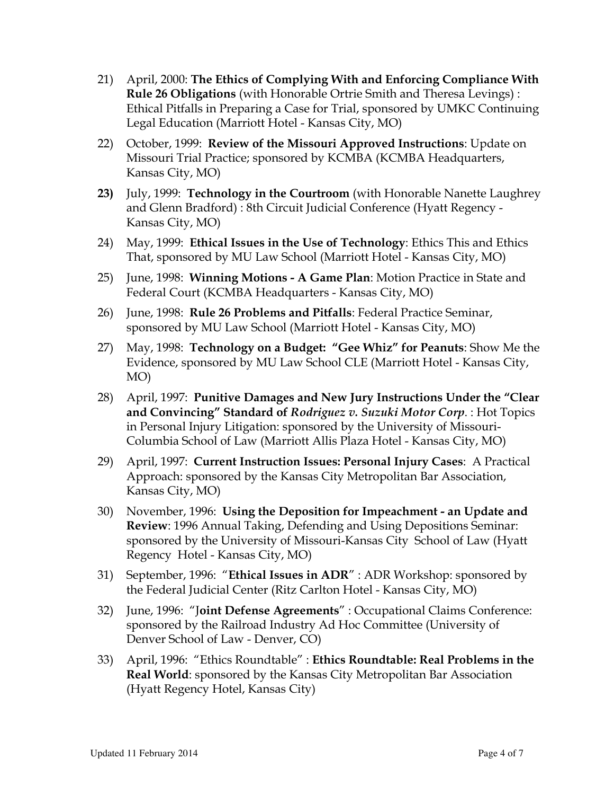- 21) April, 2000: **The Ethics of Complying With and Enforcing Compliance With Rule 26 Obligations** (with Honorable Ortrie Smith and Theresa Levings) : Ethical Pitfalls in Preparing a Case for Trial, sponsored by UMKC Continuing Legal Education (Marriott Hotel - Kansas City, MO)
- 22) October, 1999: **Review of the Missouri Approved Instructions**: Update on Missouri Trial Practice; sponsored by KCMBA (KCMBA Headquarters, Kansas City, MO)
- **23)** July, 1999: **Technology in the Courtroom** (with Honorable Nanette Laughrey and Glenn Bradford) : 8th Circuit Judicial Conference (Hyatt Regency - Kansas City, MO)
- 24) May, 1999: **Ethical Issues in the Use of Technology**: Ethics This and Ethics That, sponsored by MU Law School (Marriott Hotel - Kansas City, MO)
- 25) June, 1998: **Winning Motions A Game Plan**: Motion Practice in State and Federal Court (KCMBA Headquarters - Kansas City, MO)
- 26) June, 1998: **Rule 26 Problems and Pitfalls**: Federal Practice Seminar, sponsored by MU Law School (Marriott Hotel - Kansas City, MO)
- 27) May, 1998: **Technology on a Budget: "Gee Whiz" for Peanuts**: Show Me the Evidence, sponsored by MU Law School CLE (Marriott Hotel - Kansas City, MO)
- 28) April, 1997: **Punitive Damages and New Jury Instructions Under the "Clear and Convincing" Standard of** *Rodriguez v. Suzuki Motor Corp*. : Hot Topics in Personal Injury Litigation: sponsored by the University of Missouri-Columbia School of Law (Marriott Allis Plaza Hotel - Kansas City, MO)
- 29) April, 1997: **Current Instruction Issues: Personal Injury Cases**: A Practical Approach: sponsored by the Kansas City Metropolitan Bar Association, Kansas City, MO)
- 30) November, 1996: **Using the Deposition for Impeachment an Update and Review**: 1996 Annual Taking, Defending and Using Depositions Seminar: sponsored by the University of Missouri-Kansas City School of Law (Hyatt Regency Hotel - Kansas City, MO)
- 31) September, 1996: "**Ethical Issues in ADR**" : ADR Workshop: sponsored by the Federal Judicial Center (Ritz Carlton Hotel - Kansas City, MO)
- 32) June, 1996: "J**oint Defense Agreements**" : Occupational Claims Conference: sponsored by the Railroad Industry Ad Hoc Committee (University of Denver School of Law - Denver, CO)
- 33) April, 1996: "Ethics Roundtable" : **Ethics Roundtable: Real Problems in the Real World**: sponsored by the Kansas City Metropolitan Bar Association (Hyatt Regency Hotel, Kansas City)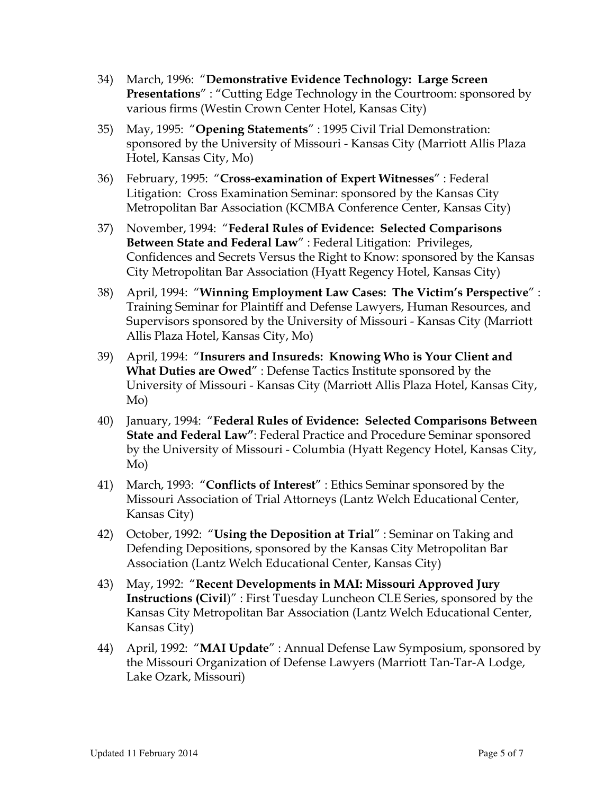- 34) March, 1996: "**Demonstrative Evidence Technology: Large Screen Presentations**" : "Cutting Edge Technology in the Courtroom: sponsored by various firms (Westin Crown Center Hotel, Kansas City)
- 35) May, 1995: "**Opening Statements**" : 1995 Civil Trial Demonstration: sponsored by the University of Missouri - Kansas City (Marriott Allis Plaza Hotel, Kansas City, Mo)
- 36) February, 1995: "**Cross-examination of Expert Witnesses**" : Federal Litigation: Cross Examination Seminar: sponsored by the Kansas City Metropolitan Bar Association (KCMBA Conference Center, Kansas City)
- 37) November, 1994: "**Federal Rules of Evidence: Selected Comparisons Between State and Federal Law**" : Federal Litigation: Privileges, Confidences and Secrets Versus the Right to Know: sponsored by the Kansas City Metropolitan Bar Association (Hyatt Regency Hotel, Kansas City)
- 38) April, 1994: "**Winning Employment Law Cases: The Victim's Perspective**" : Training Seminar for Plaintiff and Defense Lawyers, Human Resources, and Supervisors sponsored by the University of Missouri - Kansas City (Marriott Allis Plaza Hotel, Kansas City, Mo)
- 39) April, 1994: "**Insurers and Insureds: Knowing Who is Your Client and What Duties are Owed**" : Defense Tactics Institute sponsored by the University of Missouri - Kansas City (Marriott Allis Plaza Hotel, Kansas City, Mo)
- 40) January, 1994: "**Federal Rules of Evidence: Selected Comparisons Between State and Federal Law"**: Federal Practice and Procedure Seminar sponsored by the University of Missouri - Columbia (Hyatt Regency Hotel, Kansas City, Mo)
- 41) March, 1993: "**Conflicts of Interest**" : Ethics Seminar sponsored by the Missouri Association of Trial Attorneys (Lantz Welch Educational Center, Kansas City)
- 42) October, 1992: "**Using the Deposition at Trial**" : Seminar on Taking and Defending Depositions, sponsored by the Kansas City Metropolitan Bar Association (Lantz Welch Educational Center, Kansas City)
- 43) May, 1992: "**Recent Developments in MAI: Missouri Approved Jury Instructions (Civil**)" : First Tuesday Luncheon CLE Series, sponsored by the Kansas City Metropolitan Bar Association (Lantz Welch Educational Center, Kansas City)
- 44) April, 1992: "**MAI Update**" : Annual Defense Law Symposium, sponsored by the Missouri Organization of Defense Lawyers (Marriott Tan-Tar-A Lodge, Lake Ozark, Missouri)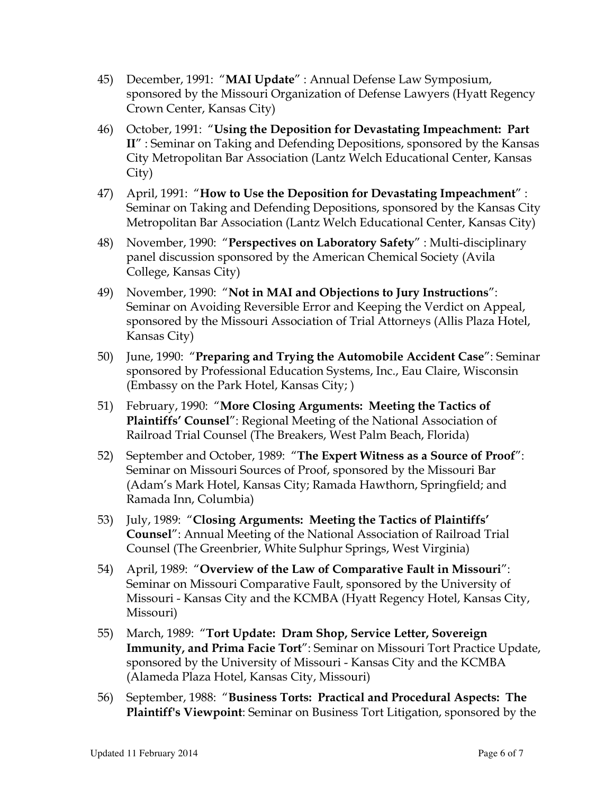- 45) December, 1991: "**MAI Update**" : Annual Defense Law Symposium, sponsored by the Missouri Organization of Defense Lawyers (Hyatt Regency Crown Center, Kansas City)
- 46) October, 1991: "**Using the Deposition for Devastating Impeachment: Part II**" : Seminar on Taking and Defending Depositions, sponsored by the Kansas City Metropolitan Bar Association (Lantz Welch Educational Center, Kansas City)
- 47) April, 1991: "**How to Use the Deposition for Devastating Impeachment**" : Seminar on Taking and Defending Depositions, sponsored by the Kansas City Metropolitan Bar Association (Lantz Welch Educational Center, Kansas City)
- 48) November, 1990: "**Perspectives on Laboratory Safety**" : Multi-disciplinary panel discussion sponsored by the American Chemical Society (Avila College, Kansas City)
- 49) November, 1990: "**Not in MAI and Objections to Jury Instructions**": Seminar on Avoiding Reversible Error and Keeping the Verdict on Appeal, sponsored by the Missouri Association of Trial Attorneys (Allis Plaza Hotel, Kansas City)
- 50) June, 1990: "**Preparing and Trying the Automobile Accident Case**": Seminar sponsored by Professional Education Systems, Inc., Eau Claire, Wisconsin (Embassy on the Park Hotel, Kansas City; )
- 51) February, 1990: "**More Closing Arguments: Meeting the Tactics of Plaintiffs' Counsel**": Regional Meeting of the National Association of Railroad Trial Counsel (The Breakers, West Palm Beach, Florida)
- 52) September and October, 1989: "**The Expert Witness as a Source of Proof**": Seminar on Missouri Sources of Proof, sponsored by the Missouri Bar (Adam's Mark Hotel, Kansas City; Ramada Hawthorn, Springfield; and Ramada Inn, Columbia)
- 53) July, 1989: "**Closing Arguments: Meeting the Tactics of Plaintiffs' Counsel**": Annual Meeting of the National Association of Railroad Trial Counsel (The Greenbrier, White Sulphur Springs, West Virginia)
- 54) April, 1989: "**Overview of the Law of Comparative Fault in Missouri**": Seminar on Missouri Comparative Fault, sponsored by the University of Missouri - Kansas City and the KCMBA (Hyatt Regency Hotel, Kansas City, Missouri)
- 55) March, 1989: "**Tort Update: Dram Shop, Service Letter, Sovereign Immunity, and Prima Facie Tort**": Seminar on Missouri Tort Practice Update, sponsored by the University of Missouri - Kansas City and the KCMBA (Alameda Plaza Hotel, Kansas City, Missouri)
- 56) September, 1988: "**Business Torts: Practical and Procedural Aspects: The Plaintiff's Viewpoint**: Seminar on Business Tort Litigation, sponsored by the